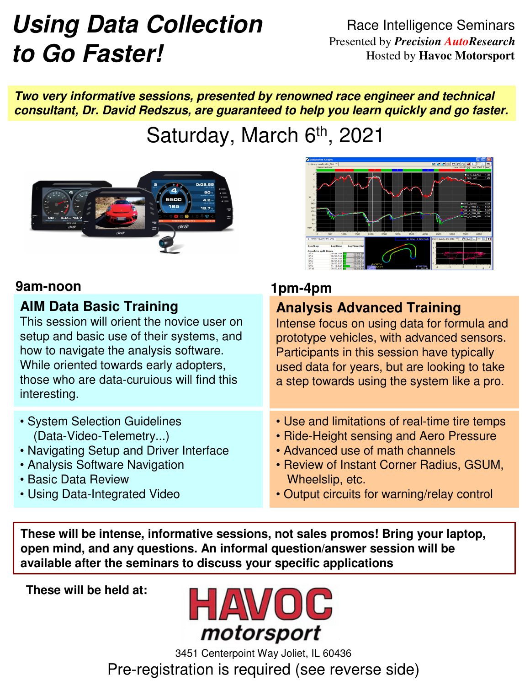# **Using Data Collection to Go Faster!**

Race Intelligence Seminars Presented by *Precision AutoResearch* Hosted by **Havoc Motorsport**

**Two very informative sessions, presented by renowned race engineer and technical consultant, Dr. David Redszus, are guaranteed to help you learn quickly and go faster.**

Saturday, March 6th, 2021



#### **9am-noon 1pm-4pm**

### **AIM Data Basic Training**

This session will orient the novice user on setup and basic use of their systems, and how to navigate the analysis software. While oriented towards early adopters, those who are data-curuious will find this interesting.

- System Selection Guidelines (Data-Video-Telemetry...)
- Navigating Setup and Driver Interface
- Analysis Software Navigation
- Basic Data Review
- Using Data-Integrated Video



**Analysis Advanced Training**

Intense focus on using data for formula and prototype vehicles, with advanced sensors. Participants in this session have typically used data for years, but are looking to take a step towards using the system like a pro.

- Use and limitations of real-time tire temps
- Ride-Height sensing and Aero Pressure
- Advanced use of math channels
- Review of Instant Corner Radius, GSUM, Wheelslip, etc.
- Output circuits for warning/relay control

**These will be intense, informative sessions, not sales promos! Bring your laptop, open mind, and any questions. An informal question/answer session will be available after the seminars to discuss your specific applications**

**These will be held at:**



3451 Centerpoint Way Joliet, IL 60436 Pre-registration is required (see reverse side)